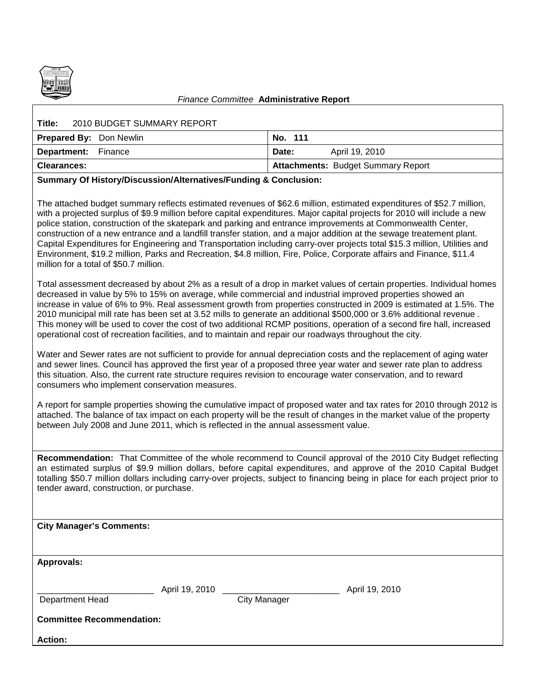

## *Finance Committee* **Administrative Report**

| 2010 BUDGET SUMMARY REPORT<br>Title: |                                           |
|--------------------------------------|-------------------------------------------|
| <b>Prepared By: Don Newlin</b>       | No. 111                                   |
| <b>Department:</b> Finance           | April 19, 2010<br>Date:                   |
| <b>Clearances:</b>                   | <b>Attachments: Budget Summary Report</b> |
|                                      |                                           |

## **Summary Of History/Discussion/Alternatives/Funding & Conclusion:**

The attached budget summary reflects estimated revenues of \$62.6 million, estimated expenditures of \$52.7 million, with a projected surplus of \$9.9 million before capital expenditures. Major capital projects for 2010 will include a new police station, construction of the skatepark and parking and entrance improvements at Commonwealth Center, construction of a new entrance and a landfill transfer station, and a major addition at the sewage treatement plant. Capital Expenditures for Engineering and Transportation including carry-over projects total \$15.3 million, Utilities and Environment, \$19.2 million, Parks and Recreation, \$4.8 million, Fire, Police, Corporate affairs and Finance, \$11.4 million for a total of \$50.7 million.

Total assessment decreased by about 2% as a result of a drop in market values of certain properties. Individual homes decreased in value by 5% to 15% on average, while commercial and industrial improved properties showed an increase in value of 6% to 9%. Real assessment growth from properties constructed in 2009 is estimated at 1.5%. The 2010 municipal mill rate has been set at 3.52 mills to generate an additional \$500,000 or 3.6% additional revenue . This money will be used to cover the cost of two additional RCMP positions, operation of a second fire hall, increased operational cost of recreation facilities, and to maintain and repair our roadways throughout the city.

Water and Sewer rates are not sufficient to provide for annual depreciation costs and the replacement of aging water and sewer lines. Council has approved the first year of a proposed three year water and sewer rate plan to address this situation. Also, the current rate structure requires revision to encourage water conservation, and to reward consumers who implement conservation measures.

A report for sample properties showing the cumulative impact of proposed water and tax rates for 2010 through 2012 is attached. The balance of tax impact on each property will be the result of changes in the market value of the property between July 2008 and June 2011, which is reflected in the annual assessment value.

**Recommendation:** That Committee of the whole recommend to Council approval of the 2010 City Budget reflecting an estimated surplus of \$9.9 million dollars, before capital expenditures, and approve of the 2010 Capital Budget totalling \$50.7 million dollars including carry-over projects, subject to financing being in place for each project prior to tender award, construction, or purchase.

| <b>City Manager's Comments:</b>  |                |                     |                |
|----------------------------------|----------------|---------------------|----------------|
|                                  |                |                     |                |
|                                  |                |                     |                |
| <b>Approvals:</b>                |                |                     |                |
|                                  |                |                     |                |
|                                  | April 19, 2010 |                     | April 19, 2010 |
| Department Head                  |                | <b>City Manager</b> |                |
| <b>Committee Recommendation:</b> |                |                     |                |
| <b>Action:</b>                   |                |                     |                |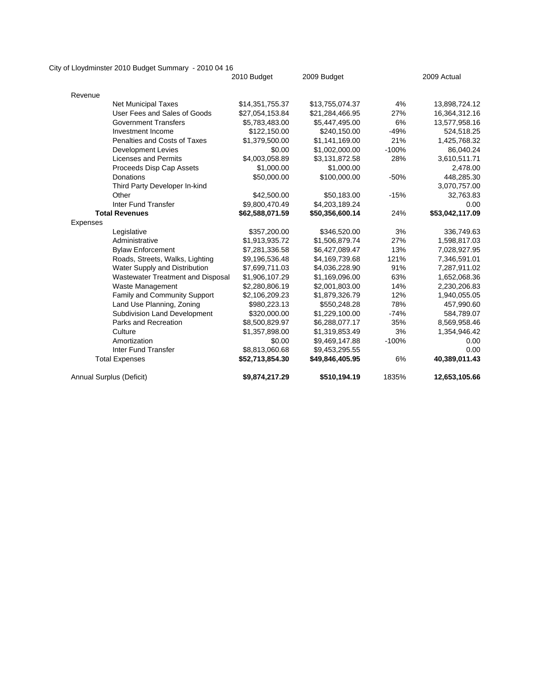City of Lloydminster 2010 Budget Summary - 2010 04 16

|                                   | 2010 Budget     | 2009 Budget     | 2009 Actual |                 |  |  |
|-----------------------------------|-----------------|-----------------|-------------|-----------------|--|--|
| Revenue                           |                 |                 |             |                 |  |  |
| <b>Net Municipal Taxes</b>        | \$14,351,755.37 | \$13,755,074.37 | 4%          | 13,898,724.12   |  |  |
| User Fees and Sales of Goods      | \$27,054,153.84 | \$21,284,466.95 | 27%         | 16,364,312.16   |  |  |
| <b>Government Transfers</b>       | \$5,783,483.00  | \$5,447,495.00  | 6%          | 13,577,958.16   |  |  |
| Investment Income                 | \$122,150.00    | \$240,150.00    | $-49%$      | 524,518.25      |  |  |
| Penalties and Costs of Taxes      | \$1,379,500.00  | \$1,141,169.00  | 21%         | 1,425,768.32    |  |  |
| <b>Development Levies</b>         | \$0.00          | \$1,002,000.00  | $-100%$     | 86,040.24       |  |  |
| <b>Licenses and Permits</b>       | \$4,003,058.89  | \$3,131,872.58  | 28%         | 3,610,511.71    |  |  |
| Proceeds Disp Cap Assets          | \$1,000.00      | \$1,000.00      |             | 2,478.00        |  |  |
| <b>Donations</b>                  | \$50,000.00     | \$100,000.00    | $-50%$      | 448,285.30      |  |  |
| Third Party Developer In-kind     |                 |                 |             | 3,070,757.00    |  |  |
| Other                             | \$42,500.00     | \$50,183.00     | $-15%$      | 32,763.83       |  |  |
| <b>Inter Fund Transfer</b>        | \$9,800,470.49  | \$4,203,189.24  |             | 0.00            |  |  |
| <b>Total Revenues</b>             | \$62,588,071.59 | \$50,356,600.14 | 24%         | \$53,042,117.09 |  |  |
| Expenses                          |                 |                 |             |                 |  |  |
| Legislative                       | \$357,200.00    | \$346,520.00    | 3%          | 336,749.63      |  |  |
| Administrative                    | \$1,913,935.72  | \$1,506,879.74  | 27%         | 1,598,817.03    |  |  |
| <b>Bylaw Enforcement</b>          | \$7,281,336.58  | \$6,427,089.47  | 13%         | 7,028,927.95    |  |  |
| Roads, Streets, Walks, Lighting   | \$9,196,536.48  | \$4,169,739.68  | 121%        | 7,346,591.01    |  |  |
| Water Supply and Distribution     | \$7,699,711.03  | \$4,036,228.90  | 91%         | 7,287,911.02    |  |  |
| Wastewater Treatment and Disposal | \$1,906,107.29  | \$1,169,096.00  | 63%         | 1,652,068.36    |  |  |
| <b>Waste Management</b>           | \$2,280,806.19  | \$2,001,803.00  | 14%         | 2,230,206.83    |  |  |
| Family and Community Support      | \$2,106,209.23  | \$1,879,326.79  | 12%         | 1,940,055.05    |  |  |
| Land Use Planning, Zoning         | \$980,223.13    | \$550,248.28    | 78%         | 457,990.60      |  |  |
| Subdivision Land Development      | \$320,000.00    | \$1,229,100.00  | $-74%$      | 584,789.07      |  |  |
| Parks and Recreation              | \$8,500,829.97  | \$6,288,077.17  | 35%         | 8,569,958.46    |  |  |
| Culture                           | \$1,357,898.00  | \$1,319,853.49  | 3%          | 1,354,946.42    |  |  |
| Amortization                      | \$0.00          | \$9,469,147.88  | $-100%$     | 0.00            |  |  |
| <b>Inter Fund Transfer</b>        | \$8,813,060.68  | \$9,453,295.55  |             | 0.00            |  |  |
| <b>Total Expenses</b>             | \$52,713,854.30 | \$49,846,405.95 | 6%          | 40,389,011.43   |  |  |
| Annual Surplus (Deficit)          | \$9,874,217.29  | \$510,194.19    | 1835%       | 12,653,105.66   |  |  |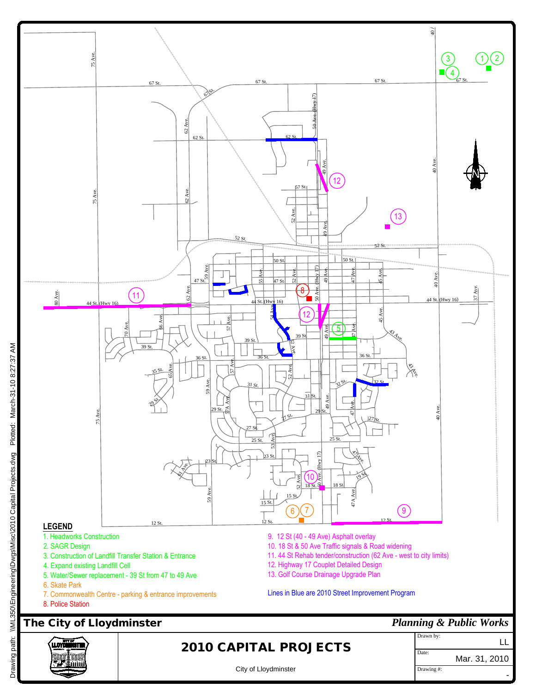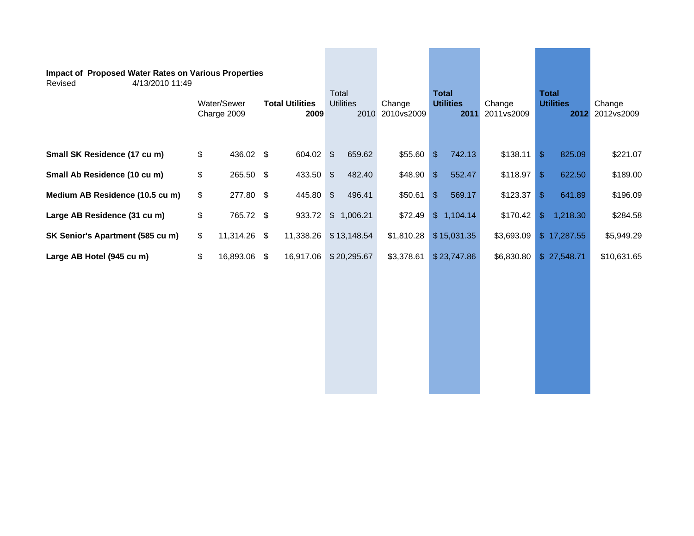| <b>Impact of Proposed Water Rates on Various Properties</b><br>4/13/2010 11:49<br>Revised | Water/Sewer<br><b>Total Utilities</b><br>Charge 2009<br>2009 |              | Total<br><b>Utilities</b> |  | Change<br>2010 2010 vs2009 | <b>Total</b><br><b>Utilities</b><br>2011 |            | Change<br>2011vs2009 | <b>Total</b><br><b>Utilities</b><br>2012 |               | Change<br>2012vs2009 |             |
|-------------------------------------------------------------------------------------------|--------------------------------------------------------------|--------------|---------------------------|--|----------------------------|------------------------------------------|------------|----------------------|------------------------------------------|---------------|----------------------|-------------|
| Small SK Residence (17 cu m)                                                              | \$                                                           | 436.02 \$    | 604.02 \$                 |  | 659.62                     | \$55.60                                  | $\sqrt{2}$ | 742.13               | \$138.11                                 | $\sqrt{2}$    | 825.09               | \$221.07    |
| Small Ab Residence (10 cu m)                                                              | \$                                                           | 265.50 \$    | 433.50 \$                 |  | 482.40                     | \$48.90                                  | $\sqrt{2}$ | 552.47               | $$118.97$ \\$                            |               | 622.50               | \$189.00    |
| Medium AB Residence (10.5 cu m)                                                           | \$                                                           | 277.80 \$    | 445.80 \$                 |  | 496.41                     | \$50.61                                  | $\sqrt{2}$ | 569.17               | $$123.37$ \\$                            |               | 641.89               | \$196.09    |
| Large AB Residence (31 cu m)                                                              | \$                                                           | 765.72 \$    | 933.72                    |  | \$1,006.21                 | \$72.49                                  |            | \$1,104.14           | \$170.42                                 | $\mathcal{S}$ | 1,218.30             | \$284.58    |
| SK Senior's Apartment (585 cu m)                                                          | \$                                                           | 11,314.26 \$ | 11,338.26                 |  | \$13,148.54                | \$1,810.28                               |            | \$15,031.35          | \$3,693.09                               |               | \$17,287.55          | \$5,949.29  |
| Large AB Hotel (945 cu m)                                                                 | \$                                                           | 16,893.06 \$ | 16,917.06                 |  | \$20,295.67                | \$3,378.61                               |            | \$23,747.86          | \$6,830.80                               |               | \$27,548.71          | \$10,631.65 |
|                                                                                           |                                                              |              |                           |  |                            |                                          |            |                      |                                          |               |                      |             |